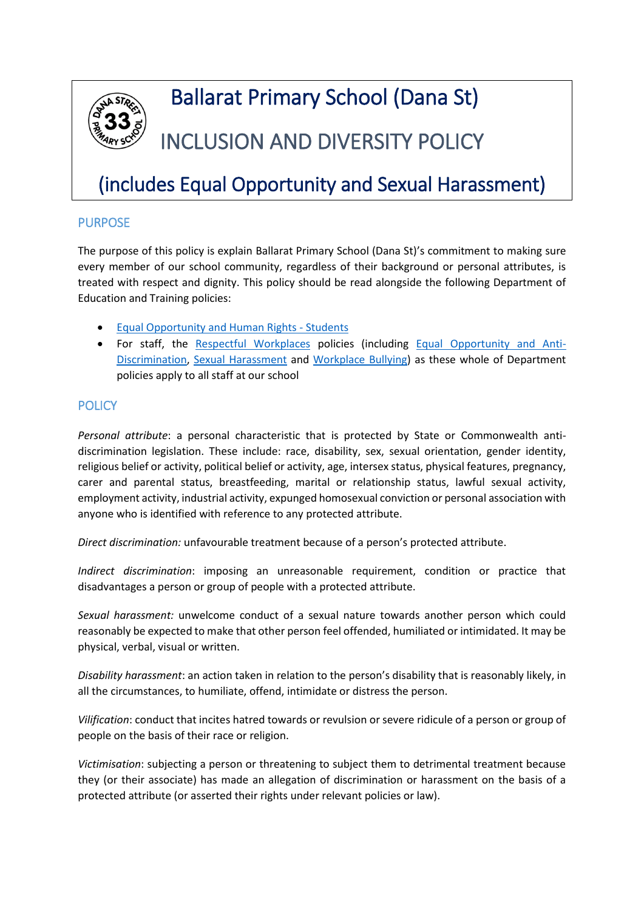

# Ballarat Primary School (Dana St)

# INCLUSION AND DIVERSITY POLICY

## (includes Equal Opportunity and Sexual Harassment)

#### PURPOSE

The purpose of this policy is explain Ballarat Primary School (Dana St)'s commitment to making sure every member of our school community, regardless of their background or personal attributes, is treated with respect and dignity. This policy should be read alongside the following Department of Education and Training policies:

- [Equal Opportunity and Human Rights -](https://www2.education.vic.gov.au/pal/equal-opportunity-human-rights-students/policy) Students
- For staff, the [Respectful Workplaces](https://www2.education.vic.gov.au/pal/respectful-workplaces/overview) policies (including [Equal Opportunity and Anti-](https://www2.education.vic.gov.au/pal/equal-opportunity/overview)[Discrimination,](https://www2.education.vic.gov.au/pal/equal-opportunity/overview) [Sexual Harassment](https://www2.education.vic.gov.au/pal/sexual-harassment/overview) and [Workplace Bullying\)](https://www2.education.vic.gov.au/pal/workplace-bullying/policy) as these whole of Department policies apply to all staff at our school

### **POLICY**

*Personal attribute*: a personal characteristic that is protected by State or Commonwealth antidiscrimination legislation. These include: race, disability, sex, sexual orientation, gender identity, religious belief or activity, political belief or activity, age, intersex status, physical features, pregnancy, carer and parental status, breastfeeding, marital or relationship status, lawful sexual activity, employment activity, industrial activity, expunged homosexual conviction or personal association with anyone who is identified with reference to any protected attribute.

*Direct discrimination:* unfavourable treatment because of a person's protected attribute.

*Indirect discrimination*: imposing an unreasonable requirement, condition or practice that disadvantages a person or group of people with a protected attribute.

*Sexual harassment:* unwelcome conduct of a sexual nature towards another person which could reasonably be expected to make that other person feel offended, humiliated or intimidated. It may be physical, verbal, visual or written.

*Disability harassment*: an action taken in relation to the person's disability that is reasonably likely, in all the circumstances, to humiliate, offend, intimidate or distress the person.

*Vilification*: conduct that incites hatred towards or revulsion or severe ridicule of a person or group of people on the basis of their race or religion.

*Victimisation*: subjecting a person or threatening to subject them to detrimental treatment because they (or their associate) has made an allegation of discrimination or harassment on the basis of a protected attribute (or asserted their rights under relevant policies or law).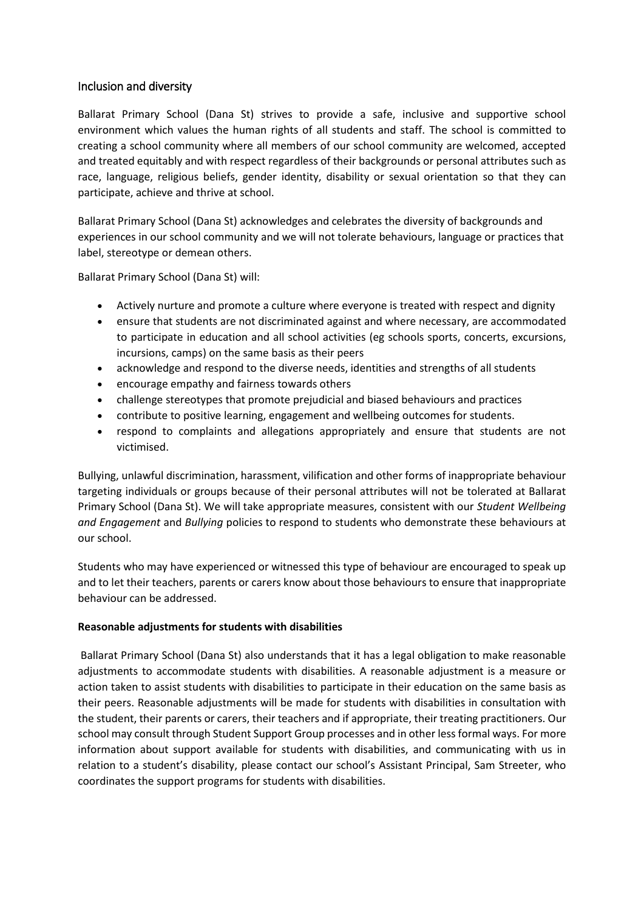#### Inclusion and diversity

Ballarat Primary School (Dana St) strives to provide a safe, inclusive and supportive school environment which values the human rights of all students and staff. The school is committed to creating a school community where all members of our school community are welcomed, accepted and treated equitably and with respect regardless of their backgrounds or personal attributes such as race, language, religious beliefs, gender identity, disability or sexual orientation so that they can participate, achieve and thrive at school.

Ballarat Primary School (Dana St) acknowledges and celebrates the diversity of backgrounds and experiences in our school community and we will not tolerate behaviours, language or practices that label, stereotype or demean others.

Ballarat Primary School (Dana St) will:

- Actively nurture and promote a culture where everyone is treated with respect and dignity
- ensure that students are not discriminated against and where necessary, are accommodated to participate in education and all school activities (eg schools sports, concerts, excursions, incursions, camps) on the same basis as their peers
- acknowledge and respond to the diverse needs, identities and strengths of all students
- encourage empathy and fairness towards others
- challenge stereotypes that promote prejudicial and biased behaviours and practices
- contribute to positive learning, engagement and wellbeing outcomes for students.
- respond to complaints and allegations appropriately and ensure that students are not victimised.

Bullying, unlawful discrimination, harassment, vilification and other forms of inappropriate behaviour targeting individuals or groups because of their personal attributes will not be tolerated at Ballarat Primary School (Dana St). We will take appropriate measures, consistent with our *Student Wellbeing and Engagement* and *Bullying* policies to respond to students who demonstrate these behaviours at our school.

Students who may have experienced or witnessed this type of behaviour are encouraged to speak up and to let their teachers, parents or carers know about those behaviours to ensure that inappropriate behaviour can be addressed.

#### **Reasonable adjustments for students with disabilities**

Ballarat Primary School (Dana St) also understands that it has a legal obligation to make reasonable adjustments to accommodate students with disabilities. A reasonable adjustment is a measure or action taken to assist students with disabilities to participate in their education on the same basis as their peers. Reasonable adjustments will be made for students with disabilities in consultation with the student, their parents or carers, their teachers and if appropriate, their treating practitioners. Our school may consult through Student Support Group processes and in other less formal ways. For more information about support available for students with disabilities, and communicating with us in relation to a student's disability, please contact our school's Assistant Principal, Sam Streeter, who coordinates the support programs for students with disabilities.